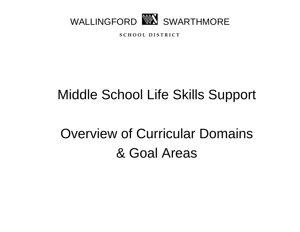

**S C H O O L D I S T R I C T**

## Middle School Life Skills Support

# Overview of Curricular Domains & Goal Areas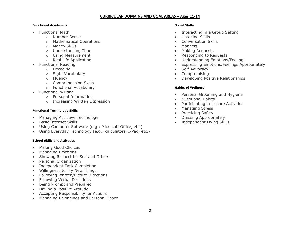### **CURRICULAR DOMAINS AND GOAL AREAS – Ages 11-14**

### **Functional Academics**

- Functional Math
	- o Number Sense
	- o Mathematical Operations
	- o Money Skills
	- o Understanding Time
	- o Using Measurement
	- o Real Life Application
- Functional Reading
	- o Decoding
	- o Sight Vocabulary
	- o Fluency
	- o Comprehension Skills
	- o Functional Vocabulary
- Functional Writing
	- o Personal Information
	- o Increasing Written Expression

### **Functional Technology Skills**

- Managing Assistive Technology
- Basic Internet Skills
- Using Computer Software (e.g.: Microsoft Office, etc.)
- Using Everyday Technology (e.g.: calculators, I-Pad, etc.)

### **School Skills and Attitudes**

- Making Good Choices
- Managing Emotions
- Showing Respect for Self and Others
- Personal Organization
- Independent Task Completion
- Willingness to Try New Things
- Following Written/Picture Directions
- Following Verbal Directions
- Being Prompt and Prepared
- Having a Positive Attitude
- Accepting Responsibility for Actions
- Managing Belongings and Personal Space

### **Social Skills**

- Interacting in a Group Setting
- Listening Skills
- Conversation Skills
- Manners
- Making Requests
- Responding to Requests
- Understanding Emotions/Feelings
- Expressing Emotions/Feelings Appropriately
- Self-Advocacy
- Compromising
- Developing Positive Relationships

### **Habits of Wellness**

- Personal Grooming and Hygiene
- Nutritional Habits
- Participating in Leisure Activities
- Managing Stress
- Practicing Safety
- Dressing Appropriately
- Independent Living Skills